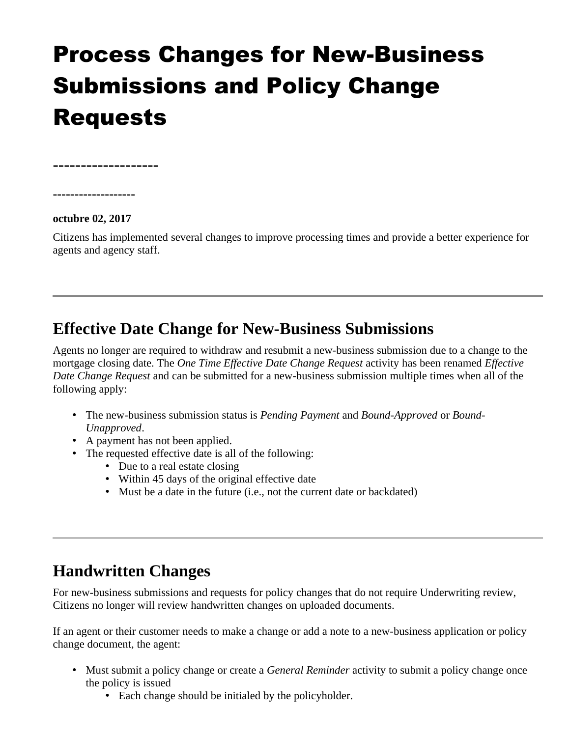# Process Changes for New-Business Submissions and Policy Change Requests

**-------------------**

**-------------------**

**octubre 02, 2017** 

Citizens has implemented several changes to improve processing times and provide a better experience for agents and agency staff.

#### **Effective Date Change for New-Business Submissions**

Agents no longer are required to withdraw and resubmit a new-business submission due to a change to the mortgage closing date. The *One Time Effective Date Change Request* activity has been renamed *Effective Date Change Request* and can be submitted for a new-business submission multiple times when all of the following apply:

- The new-business submission status is *Pending Payment* and *Bound-Approved* or *Bound-Unapproved*.
- A payment has not been applied.
- The requested effective date is all of the following:
	- Due to a real estate closing
	- Within 45 days of the original effective date
	- Must be a date in the future (i.e., not the current date or backdated)

## **Handwritten Changes**

For new-business submissions and requests for policy changes that do not require Underwriting review, Citizens no longer will review handwritten changes on uploaded documents.

If an agent or their customer needs to make a change or add a note to a new-business application or policy change document, the agent:

- Must submit a policy change or create a *General Reminder* activity to submit a policy change once the policy is issued
	- Each change should be initialed by the policyholder.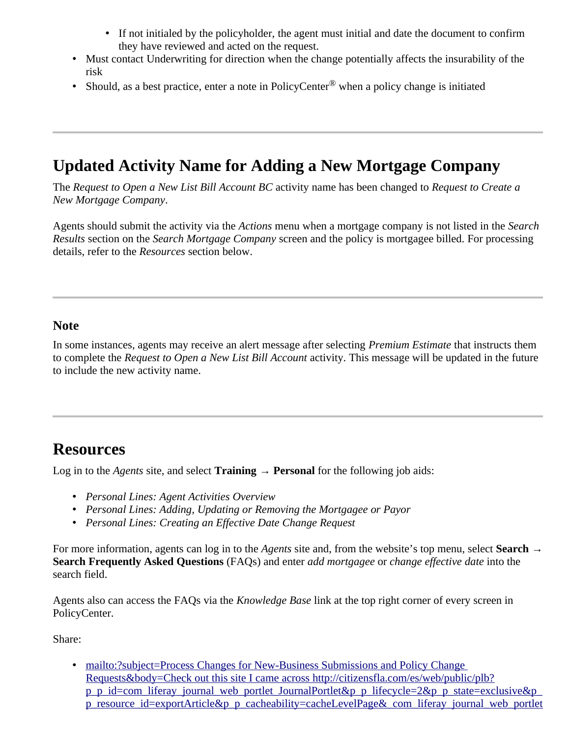- If not initialed by the policyholder, the agent must initial and date the document to confirm they have reviewed and acted on the request.
- Must contact Underwriting for direction when the change potentially affects the insurability of the risk
- Should, as a best practice, enter a note in PolicyCenter $^{\circledR}$  when a policy change is initiated

### **Updated Activity Name for Adding a New Mortgage Company**

The *Request to Open a New List Bill Account BC* activity name has been changed to *Request to Create a New Mortgage Company*.

Agents should submit the activity via the *Actions* menu when a mortgage company is not listed in the *Search Results* section on the *Search Mortgage Company* screen and the policy is mortgagee billed. For processing details, refer to the *Resources* section below.

#### **Note**

In some instances, agents may receive an alert message after selecting *Premium Estimate* that instructs them to complete the *Request to Open a New List Bill Account* activity. This message will be updated in the future to include the new activity name.

#### **Resources**

Log in to the *Agents* site, and select **Training** → **Personal** for the following job aids:

- *Personal Lines: Agent Activities Overview*
- *Personal Lines: Adding, Updating or Removing the Mortgagee or Payor*
- *Personal Lines: Creating an Effective Date Change Request*

For more information, agents can log in to the *Agents* site and, from the website's top menu, select **Search** → **Search Frequently Asked Questions** (FAQs) and enter *add mortgagee* or *change effective date* into the search field.

Agents also can access the FAQs via the *Knowledge Base* link at the top right corner of every screen in PolicyCenter.

Share:

• mailto:?subject=Process Changes for New-Business Submissions and Policy Change Requests&body=Check out this site I came across http://citizensfla.com/es/web/public/plb? p\_p\_id=com\_liferay\_journal\_web\_portlet\_JournalPortlet&p\_p\_lifecycle=2&p\_p\_state=exclusive&p\_ [p\\_resource\\_id=exportArticle&p\\_p\\_cacheability=cacheLevelPage&\\_com\\_liferay\\_journal\\_web\\_portlet](mailto:?subject=Process%20Changes%20for%20New-Business%20Submissions%20and%20Policy%20Change%20Requests&body=Check%20out%20this%20site%20I%20came%20across%20http://citizensfla.com/es/web/public/plb?p_p_id=com_liferay_journal_web_portlet_JournalPortlet&p_p_lifecycle=2&p_p_state=exclusive&p_p_resource_id=exportArticle&p_p_cacheability=cacheLevelPage&_com_liferay_journal_web_portlet_JournalPortlet_groupId=20702&_com_liferay_journal_web_portlet_JournalPortlet_articleId=5583911&_com_liferay_journal_web_portlet_JournalPortlet_plid=30878&_com_liferay_journal_web_portlet_JournalPortlet_portletResource=com_liferay_asset_publisher_web_portlet_AssetPublisherPortlet_INSTANCE_3YC3hsskaUbZ&_com_liferay_journal_web_portlet_JournalPortlet_targetExtension=pdf)